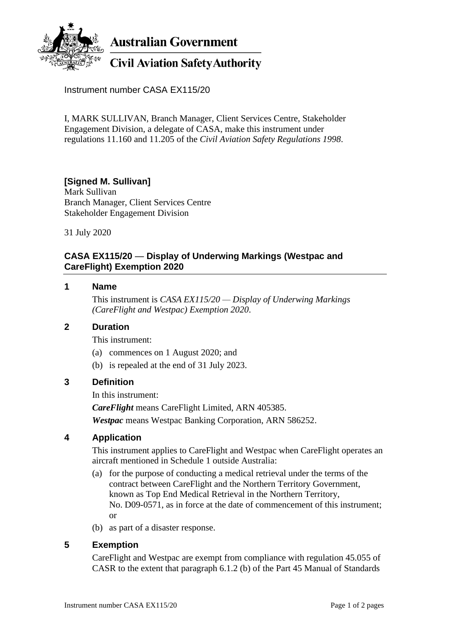

Instrument number CASA EX115/20

I, MARK SULLIVAN, Branch Manager, Client Services Centre, Stakeholder Engagement Division, a delegate of CASA, make this instrument under regulations 11.160 and 11.205 of the *Civil Aviation Safety Regulations 1998*.

# **[Signed M. Sullivan]**

Mark Sullivan Branch Manager, Client Services Centre Stakeholder Engagement Division

31 July 2020

# **CASA EX115/20** — **Display of Underwing Markings (Westpac and CareFlight) Exemption 2020**

#### **1 Name**

This instrument is *CASA EX115/20 — Display of Underwing Markings (CareFlight and Westpac) Exemption 2020*.

#### **2 Duration**

This instrument:

- (a) commences on 1 August 2020; and
- (b) is repealed at the end of 31 July 2023.

## **3 Definition**

In this instrument:

*CareFlight* means CareFlight Limited, ARN 405385.

*Westpac* means Westpac Banking Corporation, ARN 586252.

## **4 Application**

This instrument applies to CareFlight and Westpac when CareFlight operates an aircraft mentioned in Schedule 1 outside Australia:

- (a) for the purpose of conducting a medical retrieval under the terms of the contract between CareFlight and the Northern Territory Government, known as Top End Medical Retrieval in the Northern Territory, No. D09-0571, as in force at the date of commencement of this instrument; or
- (b) as part of a disaster response.

## **5 Exemption**

CareFlight and Westpac are exempt from compliance with regulation 45.055 of CASR to the extent that paragraph 6.1.2 (b) of the Part 45 Manual of Standards